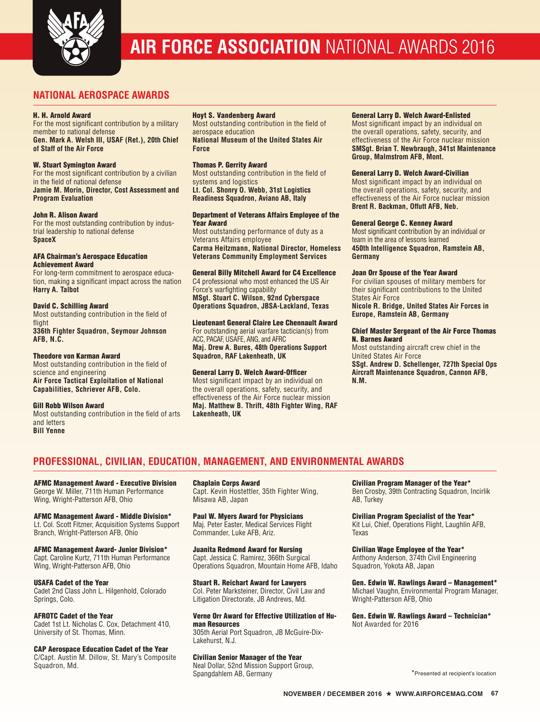

# **AIR FORCE ASSOCIATION** NATIONAL AWARDS 2016

# **NATIONAL AEROSPACE AWARDS**

### H. H. Arnold Award

For the most significant contribution by a military member to national defense **Gen. Mark A. Welsh III, USAF (Ret.), 20th Chief of Staff of the Air Force**

### W. Stuart Symington Award

For the most significant contribution by a civilian in the field of national defense **Jamie M. Morin, Director, Cost Assessment and Program Evaluation**

### John R. Alison Award

For the most outstanding contribution by industrial leadership to national defense **SpaceX**

### AFA Chairman's Aerospace Education Achievement Award

For long-term commitment to aerospace education, making a significant impact across the nation **Harry A. Talbot**

## David C. Schilling Award

Most outstanding contribution in the field of flight **336th Fighter Squadron, Seymour Johnson AFB, N.C.**

# Theodore von Karman Award

Most outstanding contribution in the field of science and engineering **Air Force Tactical Exploitation of National Capabilities, Schriever AFB, Colo.**

### Gill Robb Wilson Award

Most outstanding contribution in the field of arts and letters **Bill Yenne**

## Hoyt S. Vandenberg Award

Most outstanding contribution in the field of aerospace education **National Museum of the United States Air Force**

### Thomas P. Gerrity Award

Most outstanding contribution in the field of systems and logistics **Lt. Col. Shonry O. Webb, 31st Logistics** 

**Readiness Squadron, Aviano AB, Italy**

### Department of Veterans Affairs Employee of the Year Award

Most outstanding performance of duty as a Veterans Affairs employee **Carma Heitzmann, National Director, Homeless Veterans Community Employment Services**

## General Billy Mitchell Award for C4 Excellence

C4 professional who most enhanced the US Air Force's warfighting capability **MSgt. Stuart C. Wilson, 92nd Cyberspace Operations Squadron, JBSA-Lackland, Texas**

### Lieutenant General Claire Lee Chennault Award

For outstanding aerial warfare tactician(s) from ACC, PACAF, USAFE, ANG, and AFRC **Maj. Drew A. Bures, 48th Operations Support Squadron, RAF Lakenheath, UK**

### General Larry D. Welch Award-Officer

Most significant impact by an individual on the overall operations, safety, security, and effectiveness of the Air Force nuclear mission **Maj. Matthew B. Thrift, 48th Fighter Wing, RAF Lakenheath, UK**

### General Larry D. Welch Award-Enlisted

Most significant impact by an individual on the overall operations, safety, security, and effectiveness of the Air Force nuclear mission **SMSgt. Brian T. Newbraugh, 341st Maintenance Group, Malmstrom AFB, Mont.**

### General Larry D. Welch Award-Civilian

Most significant impact by an individual on the overall operations, safety, security, and effectiveness of the Air Force nuclear mission **Brent R. Backman, Offutt AFB, Neb.**

### General George C. Kenney Award

Most significant contribution by an individual or team in the area of lessons learned **450th Intelligence Squadron, Ramstein AB, Germany**

### Joan Orr Spouse of the Year Award

For civilian spouses of military members for their significant contributions to the United States Air Force

**Nicole R. Bridge, United States Air Forces in Europe, Ramstein AB, Germany**

#### Chief Master Sergeant of the Air Force Thomas N. Barnes Award

Most outstanding aircraft crew chief in the United States Air Force **SSgt. Andrew D. Schellenger, 727th Special Ops Aircraft Maintenance Squadron, Cannon AFB, N.M.**

# **PROFESSIONAL, CIVILIAN, EDUCATION, MANAGEMENT, AND ENVIRONMENTAL AWARDS**

AFMC Management Award - Executive Division George W. Miller, 711th Human Performance Wing, Wright-Patterson AFB, Ohio

AFMC Management Award - Middle Division\* Lt. Col. Scott Fitzner, Acquisition Systems Support Branch, Wright-Patterson AFB, Ohio

#### AFMC Management Award- Junior Division\* Capt. Caroline Kurtz, 711th Human Performance

Wing, Wright-Patterson AFB, Ohio

USAFA Cadet of the Year

Cadet 2nd Class John L. Hilgenhold, Colorado Springs, Colo.

# AFROTC Cadet of the Year

Cadet 1st Lt. Nicholas C. Cox, Detachment 410, University of St. Thomas, Minn.

### CAP Aerospace Education Cadet of the Year

C/Capt. Austin M. Dillow, St. Mary's Composite Squadron, Md.

Chaplain Corps Award Capt. Kevin Hostettler, 35th Fighter Wing, Misawa AB, Japan

Paul W. Myers Award for Physicians Maj. Peter Easter, Medical Services Flight Commander, Luke AFB, Ariz.

Juanita Redmond Award for Nursing Capt. Jessica C. Ramirez, 366th Surgical Operations Squadron, Mountain Home AFB, Idaho

Stuart R. Reichart Award for Lawyers Col. Peter Marksteiner, Director, Civil Law and Litigation Directorate, JB Andrews, Md.

Verne Orr Award for Effective Utilization of Human Resources 305th Aerial Port Squadron, JB McGuire-Dix-

# Lakehurst, N.J.

Civilian Senior Manager of the Year Neal Dollar, 52nd Mission Support Group, Spangdahlem AB, Germany

Civilian Program Manager of the Year\* Ben Crosby, 39th Contracting Squadron, Incirlik AB, Turkey

Civilian Program Specialist of the Year\* Kit Lui, Chief, Operations Flight, Laughlin AFB, Texas

Civilian Wage Employee of the Year\* Anthony Anderson, 374th Civil Engineering Squadron, Yokota AB, Japan

Gen. Edwin W. Rawlings Award – Management\* Michael Vaughn, Environmental Program Manager, Wright-Patterson AFB, Ohio

Gen. Edwin W. Rawlings Award – Technician\* Not Awarded for 2016

\*Presented at recipient's location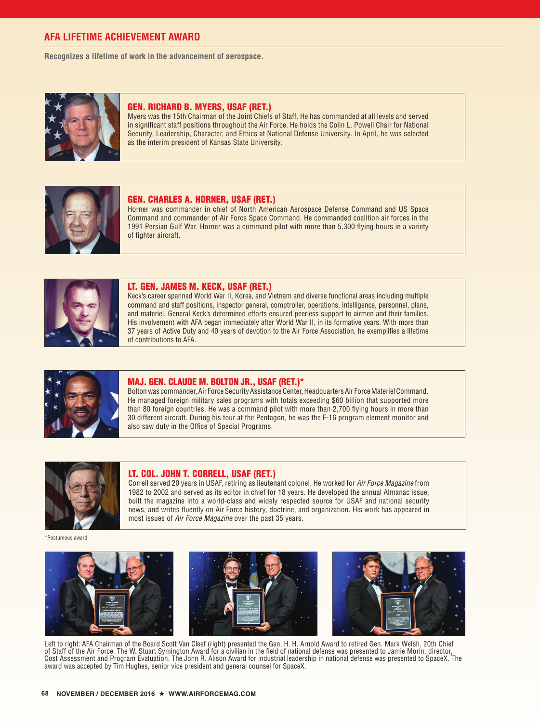# **AFA LIFETIME ACHIEVEMENT AWARD**

**Recognizes a lifetime of work in the advancement of aerospace.**



## GEN. RICHARD B. MYERS, USAF (RET.)

Myers was the 15th Chairman of the Joint Chiefs of Staff. He has commanded at all levels and served in significant staff positions throughout the Air Force. He holds the Colin L. Powell Chair for National Security, Leadership, Character, and Ethics at National Defense University. In April, he was selected as the interim president of Kansas State University.



## GEN. CHARLES A. HORNER, USAF (RET.)

Horner was commander in chief of North American Aerospace Defense Command and US Space Command and commander of Air Force Space Command. He commanded coalition air forces in the 1991 Persian Gulf War. Horner was a command pilot with more than 5,300 flying hours in a variety of fighter aircraft.



## LT. GEN. JAMES M. KECK, USAF (RET.)

Keck's career spanned World War II, Korea, and Vietnam and diverse functional areas including multiple command and staff positions, inspector general, comptroller, operations, intelligence, personnel, plans, and materiel. General Keck's determined efforts ensured peerless support to airmen and their families. His involvement with AFA began immediately after World War II, in its formative years. With more than 37 years of Active Duty and 40 years of devotion to the Air Force Association, he exemplifies a lifetime of contributions to AFA.



### MAJ. GEN. CLAUDE M. BOLTON JR., USAF (RET.)\*

Bolton was commander, Air Force Security Assistance Center, Headquarters Air Force Materiel Command. He managed foreign military sales programs with totals exceeding \$60 billion that supported more than 80 foreign countries. He was a command pilot with more than 2,700 flying hours in more than 30 different aircraft. During his tour at the Pentagon, he was the F-16 program element monitor and also saw duty in the Office of Special Programs.



#### LT. COL. JOHN T. CORRELL, USAF (RET.)

Correll served 20 years in USAF, retiring as lieutenant colonel. He worked for *Air Force Magazine* from 1982 to 2002 and served as its editor in chief for 18 years. He developed the annual Almanac issue, built the magazine into a world-class and widely respected source for USAF and national security news, and writes fluently on Air Force history, doctrine, and organization. His work has appeared in most issues of *Air Force Magazine* over the past 35 years.

\*Postumous award







Left to right: AFA Chairman of the Board Scott Van Cleef (right) presented the Gen. H. H. Arnold Award to retired Gen. Mark Welsh, 20th Chief of Staff of the Air Force. The W. Stuart Symington Award for a civilian in the field of national defense was presented to Jamie Morin, director, Cost Assessment and Program Evaluation. The John R. Alison Award for industrial leadership in national defense was presented to SpaceX. The award was accepted by Tim Hughes, senior vice president and general counsel for SpaceX.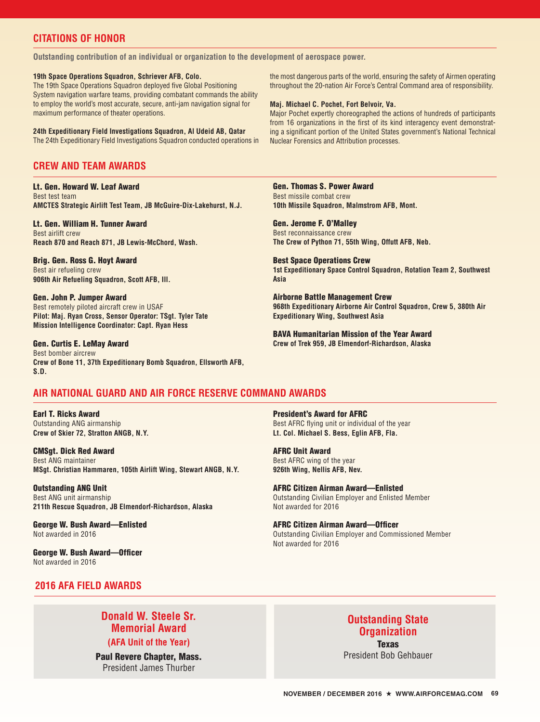# **CITATIONS OF HONOR**

**Outstanding contribution of an individual or organization to the development of aerospace power.**

### **19th Space Operations Squadron, Schriever AFB, Colo.**

The 19th Space Operations Squadron deployed five Global Positioning System navigation warfare teams, providing combatant commands the ability to employ the world's most accurate, secure, anti-jam navigation signal for maximum performance of theater operations.

**24th Expeditionary Field Investigations Squadron, Al Udeid AB, Qatar** The 24th Expeditionary Field Investigations Squadron conducted operations in

# **CREW AND TEAM AWARDS**

# Lt. Gen. Howard W. Leaf Award

Best test team **AMCTES Strategic Airlift Test Team, JB McGuire-Dix-Lakehurst, N.J.**

## Lt. Gen. William H. Tunner Award

Best airlift crew **Reach 870 and Reach 871, JB Lewis-McChord, Wash.**

Brig. Gen. Ross G. Hoyt Award Best air refueling crew **906th Air Refueling Squadron, Scott AFB, Ill.**

### Gen. John P. Jumper Award

Best remotely piloted aircraft crew in USAF **Pilot: Maj. Ryan Cross, Sensor Operator: TSgt. Tyler Tate Mission Intelligence Coordinator: Capt. Ryan Hess**

### Gen. Curtis E. LeMay Award

Best bomber aircrew **Crew of Bone 11, 37th Expeditionary Bomb Squadron, Ellsworth AFB, S.D.**

### the most dangerous parts of the world, ensuring the safety of Airmen operating throughout the 20-nation Air Force's Central Command area of responsibility.

### **Maj. Michael C. Pochet, Fort Belvoir, Va.**

Major Pochet expertly choreographed the actions of hundreds of participants from 16 organizations in the first of its kind interagency event demonstrating a significant portion of the United States government's National Technical Nuclear Forensics and Attribution processes.

# Gen. Thomas S. Power Award

Best missile combat crew **10th Missile Squadron, Malmstrom AFB, Mont.**

Gen. Jerome F. O'Malley Best reconnaissance crew **The Crew of Python 71, 55th Wing, Offutt AFB, Neb.**

Best Space Operations Crew **1st Expeditionary Space Control Squadron, Rotation Team 2, Southwest Asia**

Airborne Battle Management Crew **968th Expeditionary Airborne Air Control Squadron, Crew 5, 380th Air Expeditionary Wing, Southwest Asia**

BAVA Humanitarian Mission of the Year Award **Crew of Trek 959, JB Elmendorf-Richardson, Alaska**

# **AIR NATIONAL GUARD AND AIR FORCE RESERVE COMMAND AWARDS**

Earl T. Ricks Award Outstanding ANG airmanship **Crew of Skier 72, Stratton ANGB, N.Y.**

# CMSgt. Dick Red Award

Best ANG maintainer **MSgt. Christian Hammaren, 105th Airlift Wing, Stewart ANGB, N.Y.**

Outstanding ANG Unit Best ANG unit airmanship **211th Rescue Squadron, JB Elmendorf-Richardson, Alaska**

### George W. Bush Award—Enlisted Not awarded in 2016

George W. Bush Award—Officer Not awarded in 2016

President's Award for AFRC

Best AFRC flying unit or individual of the year **Lt. Col. Michael S. Bess, Eglin AFB, Fla.**

# AFRC Unit Award

Best AFRC wing of the year **926th Wing, Nellis AFB, Nev.**

AFRC Citizen Airman Award—Enlisted Outstanding Civilian Employer and Enlisted Member Not awarded for 2016

AFRC Citizen Airman Award—Officer Outstanding Civilian Employer and Commissioned Member Not awarded for 2016

# **2016 AFA FIELD AWARDS**

# **Donald W. Steele Sr. Memorial Award**

**(AFA Unit of the Year)**

Paul Revere Chapter, Mass. President James Thurber

# **Outstanding State Organization**  Texas

President Bob Gehbauer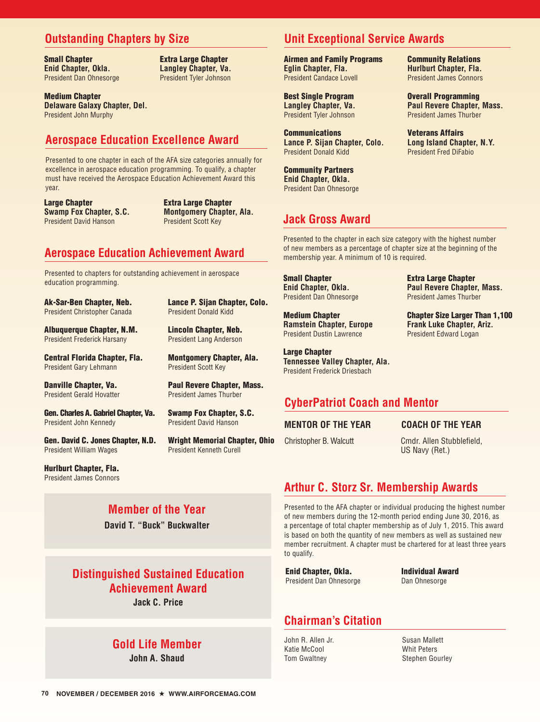# **Outstanding Chapters by Size**

Small Chapter **Enid Chapter, Okla.** President Dan Ohnesorge

Extra Large Chapter **Langley Chapter, Va.** President Tyler Johnson

Medium Chapter **Delaware Galaxy Chapter, Del.** President John Murphy

# **Aerospace Education Excellence Award**

Presented to one chapter in each of the AFA size categories annually for excellence in aerospace education programming. To qualify, a chapter must have received the Aerospace Education Achievement Award this year.

**Large Chapter Swamp Fox Chapter, S.C.** President David Hanson

Extra Large Chapter **Montgomery Chapter, Ala.** President Scott Key

Lance P. Sijan Chapter, Colo.

President Donald Kidd

President Scott Key

Lincoln Chapter, Neb. President Lang Anderson

Montgomery Chapter, Ala.

Paul Revere Chapter, Mass. President James Thurber

Swamp Fox Chapter, S.C. President David Hanson

President Kenneth Curell

Wright Memorial Chapter, Ohio

# **Aerospace Education Achievement Award**

Presented to chapters for outstanding achievement in aerospace education programming.

Ak-Sar-Ben Chapter, Neb. President Christopher Canada

Albuquerque Chapter, N.M. President Frederick Harsany

Central Florida Chapter, Fla. President Gary Lehmann

Danville Chapter, Va. President Gerald Hovatter

Gen. Charles A. Gabriel Chapter, Va. President John Kennedy

Gen. David C. Jones Chapter, N.D. President William Wages

Hurlburt Chapter, Fla. President James Connors

# **Member of the Year**

**David T. "Buck" Buckwalter**

# **Distinguished Sustained Education Achievement Award**

**Jack C. Price**

# **Gold Life Member**

**John A. Shaud**

# **Unit Exceptional Service Awards**

Airmen and Family Programs **Eglin Chapter, Fla.** President Candace Lovell

Best Single Program **Langley Chapter, Va.** President Tyler Johnson

**Communications Lance P. Sijan Chapter, Colo.** President Donald Kidd

Community Partners **Enid Chapter, Okla.** President Dan Ohnesorge

# **Jack Gross Award**

Presented to the chapter in each size category with the highest number of new members as a percentage of chapter size at the beginning of the membership year. A minimum of 10 is required.

Small Chapter **Enid Chapter, Okla.** President Dan Ohnesorge

Medium Chapter **Ramstein Chapter, Europe** President Dustin Lawrence

Large Chapter **Tennessee Valley Chapter, Ala.**  President Frederick Driesbach

# **CyberPatriot Coach and Mentor**

# **MENTOR OF THE YEAR**

# **COACH OF THE YEAR**

Extra Large Chapter **Paul Revere Chapter, Mass.**  President James Thurber

Chapter Size Larger Than 1,100 **Frank Luke Chapter, Ariz.** President Edward Logan

Christopher B. Walcutt Cmdr. Allen Stubblefield, US Navy (Ret.)

# **Arthur C. Storz Sr. Membership Awards**

Presented to the AFA chapter or individual producing the highest number of new members during the 12-month period ending June 30, 2016, as a percentage of total chapter membership as of July 1, 2015. This award is based on both the quantity of new members as well as sustained new member recruitment. A chapter must be chartered for at least three years to qualify.

Enid Chapter, Okla. President Dan Ohnesorge Individual Award Dan Ohnesorge

# **Chairman's Citation**

John R. Allen Jr. Katie McCool Tom Gwaltney

Susan Mallett Whit Peters Stephen Gourley

Community Relations **Hurlburt Chapter, Fla.**  President James Connors

Overall Programming **Paul Revere Chapter, Mass.** President James Thurber

Veterans Affairs **Long Island Chapter, N.Y.** President Fred DiFabio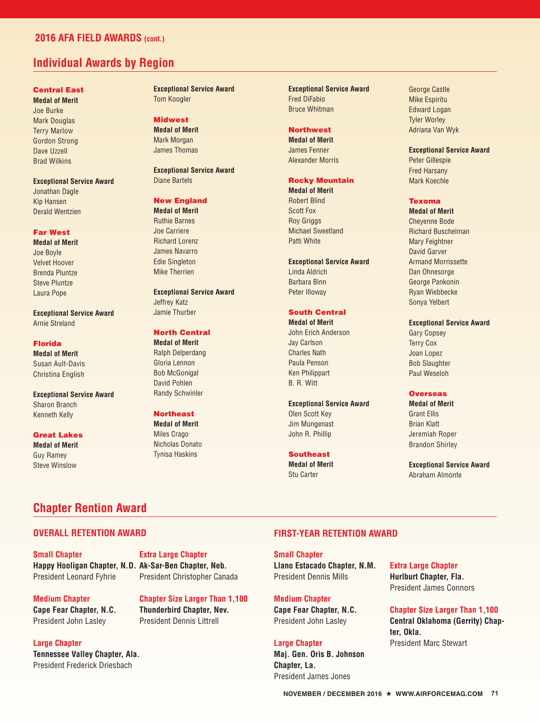# **2016 AFA FIELD AWARDS (cont.)**

# **Individual Awards by Region**

# Central East

**Medal of Merit**  Joe Burke Mark Douglas Terry Marlow Gordon Strong Dave Uzzell Brad Wilkins

## **Exceptional Service Award**

Jonathan Dagle Kip Hansen Derald Wentzien

### Far West

**Medal of Merit**  Joe Boyle Velvet Hoover Brenda Pluntze Steve Pluntze Laura Pope

**Exceptional Service Award**  Arnie Streland

### Florida

**Medal of Merit**  Susan Ault-Davis Christina English

**Exceptional Service Award**  Sharon Branch Kenneth Kelly

Great Lakes **Medal of Merit**  Guy Ramey Steve Winslow

**Exceptional Service Award**  Tom Koogler

Midwest **Medal of Merit**  Mark Morgan

James Thomas

**Exceptional Service Award** Diane Bartels

# New England

**Medal of Merit**  Ruthie Barnes Joe Carriere Richard Lorenz James Navarro Edie Singleton Mike Therrien

# **Exceptional Service Award**

Jeffrey Katz Jamie Thurber

# North Central

**Medal of Merit**  Ralph Delperdang Gloria Lennon Bob McGonigal David Pohlen Randy Schwinler

## Northeast

**Medal of Merit**  Miles Crago Nicholas Donato Tynisa Haskins

**Exceptional Service Award**  Fred DiFabio Bruce Whitman

## **Northwest**

**Medal of Merit**  James Fenner Alexander Morris

### Rocky Mountain **Medal of Merit**

Robert Blind Scott Fox Roy Griggs Michael Sweetland Patti White

#### **Exceptional Service Award**

Linda Aldrich Barbara Binn Peter Illoway

# South Central

**Medal of Merit**  John Erich Anderson Jay Carlson Charles Nath Paula Penson Ken Philippart B. R. Witt

### **Exceptional Service Award**

Olen Scott Key Jim Mungenast John R. Phillip

# Southeast

**Medal of Merit**  Stu Carter

George Castle Mike Espiritu Edward Logan Tyler Worley Adriana Van Wyk

## **Exceptional Service Award**

Peter Gillespie Fred Harsany Mark Koechle

### Texoma

**Medal of Merit**  Cheyenne Bode Richard Buschelman Mary Feightner David Garver Armand Morrissette Dan Ohnesorge George Pankonin Ryan Wiebbecke Sonya Yelbert

### **Exceptional Service Award**

Gary Copsey Terry Cox Joan Lopez Bob Slaughter Paul Weseloh

## **Overseas**

**Medal of Merit**  Grant Ellis Brian Klatt Jeremiah Roper Brandon Shirley

**Exceptional Service Award** Abraham Almonte

# **Chapter Rention Award**

# **OVERALL RETENTION AWARD**

**Small Chapter Happy Hooligan Chapter, N.D. Ak-Sar-Ben Chapter, Neb.** President Leonard Fyhrie

**Extra Large Chapter** President Christopher Canada

**Medium Chapter Cape Fear Chapter, N.C.** President John Lasley

**Chapter Size Larger Than 1,100 Thunderbird Chapter, Nev.** President Dennis Littrell

**Large Chapter**

**Tennessee Valley Chapter, Ala.** President Frederick Driesbach

# **FIRST-YEAR RETENTION AWARD**

**Small Chapter Llano Estacado Chapter, N.M.** President Dennis Mills

**Medium Chapter Cape Fear Chapter, N.C.** President John Lasley

**Large Chapter Maj. Gen. Oris B. Johnson Chapter, La.** President James Jones

**Extra Large Chapter Hurlburt Chapter, Fla.** President James Connors

## **Chapter Size Larger Than 1,100**

**Central Oklahoma (Gerrity) Chapter, Okla.** President Marc Stewart